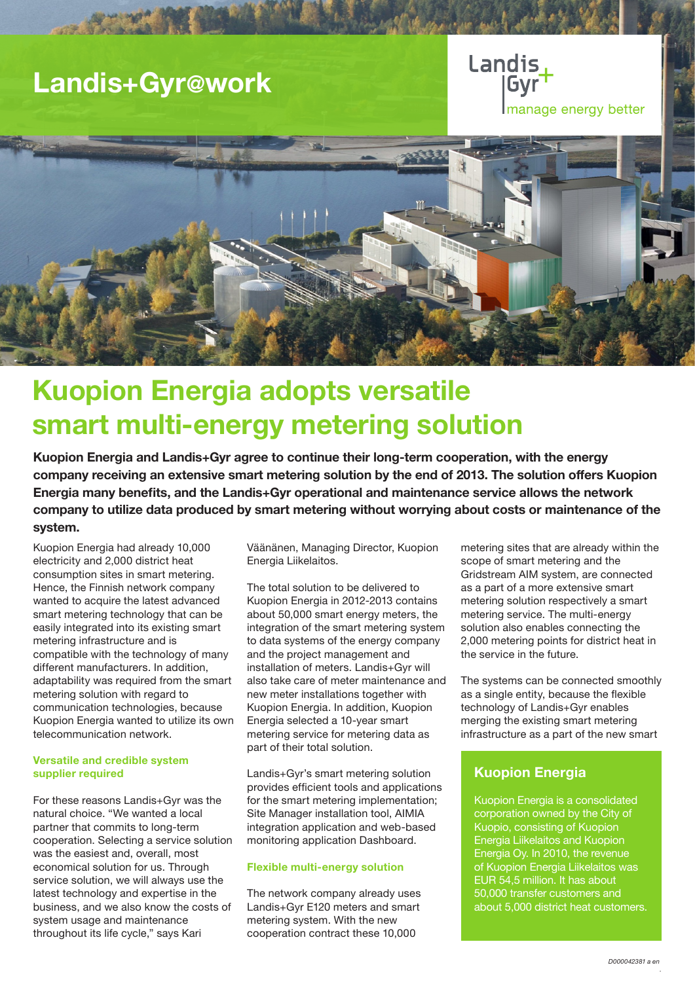# Landis+Gyr@work

Landis manage energy better



# Kuopion Energia adopts versatile smart multi-energy metering solution

Kuopion Energia and Landis+Gyr agree to continue their long-term cooperation, with the energy company receiving an extensive smart metering solution by the end of 2013. The solution offers Kuopion Energia many benefits, and the Landis+Gyr operational and maintenance service allows the network company to utilize data produced by smart metering without worrying about costs or maintenance of the system.

Kuopion Energia had already 10,000 electricity and 2,000 district heat consumption sites in smart metering. Hence, the Finnish network company wanted to acquire the latest advanced smart metering technology that can be easily integrated into its existing smart metering infrastructure and is compatible with the technology of many different manufacturers. In addition, adaptability was required from the smart metering solution with regard to communication technologies, because Kuopion Energia wanted to utilize its own telecommunication network.

### Versatile and credible system supplier required

For these reasons Landis+Gyr was the natural choice. "We wanted a local partner that commits to long-term cooperation. Selecting a service solution was the easiest and, overall, most economical solution for us. Through service solution, we will always use the latest technology and expertise in the business, and we also know the costs of system usage and maintenance throughout its life cycle," says Kari

Väänänen, Managing Director, Kuopion Energia Liikelaitos.

The total solution to be delivered to Kuopion Energia in 2012-2013 contains about 50,000 smart energy meters, the integration of the smart metering system to data systems of the energy company and the project management and installation of meters. Landis+Gyr will also take care of meter maintenance and new meter installations together with Kuopion Energia. In addition, Kuopion Energia selected a 10-year smart metering service for metering data as part of their total solution.

Landis+Gyr's smart metering solution provides efficient tools and applications for the smart metering implementation; Site Manager installation tool, AIMIA integration application and web-based monitoring application Dashboard.

### Flexible multi-energy solution

The network company already uses Landis+Gyr E120 meters and smart metering system. With the new cooperation contract these 10,000

metering sites that are already within the scope of smart metering and the Gridstream AIM system, are connected as a part of a more extensive smart metering solution respectively a smart metering service. The multi-energy solution also enables connecting the 2,000 metering points for district heat in the service in the future.

The systems can be connected smoothly as a single entity, because the flexible technology of Landis+Gyr enables merging the existing smart metering infrastructure as a part of the new smart

## Kuopion Energia

Kuopion Energia is a consolidated corporation owned by the City of Kuopio, consisting of Kuopion Energia Liikelaitos and Kuopion Energia Oy. In 2010, the revenue of Kuopion Energia Liikelaitos was EUR 54,5 million. It has about 50,000 transfer customers and about 5,000 district heat customers.